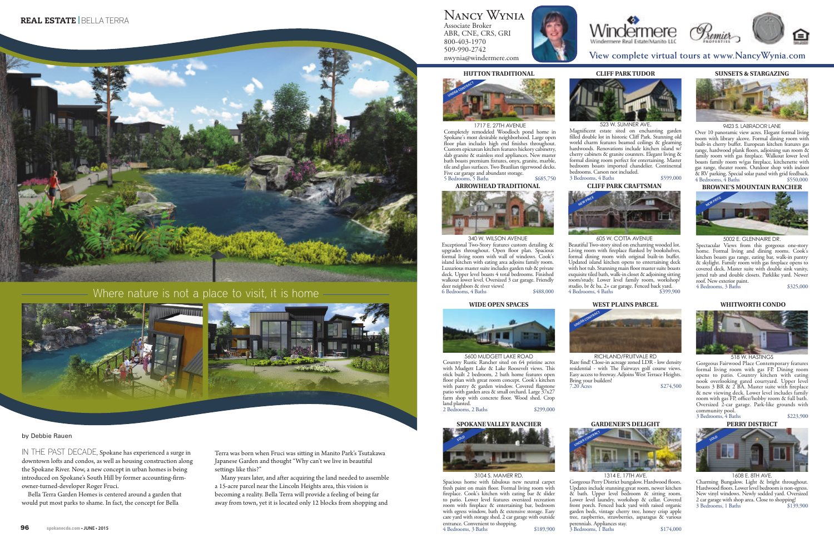

## Where nature is not a place to visit, it is home



## by Debbie Rauen

IN THE PAST DECADE, Spokane has experienced a surge in downtown lofts and condos, as well as housing construction along the Spokane River. Now, a new concept in urban homes is being introduced on Spokane's South Hill by former accounting-firmowner-turned-developer Roger Fruci.

Bella Terra Garden Homes is centered around a garden that would put most parks to shame. In fact, the concept for Bella

Terra was born when Fruci was sitting in Manito Park's Tsutakawa Japanese Garden and thought "Why can't we live in beautiful settings like this?"

Many years later, and after acquiring the land needed to assemble a 15-acre parcel near the Lincoln Heights area, this vision is becoming a reality. Bella Terra will provide a feeling of being far away from town, yet it is located only 12 blocks from shopping and